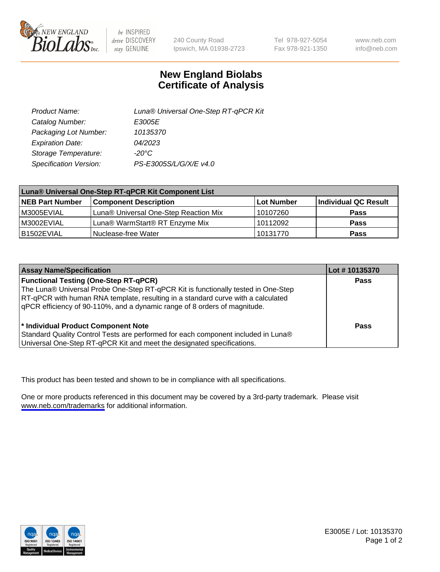

be INSPIRED drive DISCOVERY stay GENUINE

240 County Road Ipswich, MA 01938-2723 Tel 978-927-5054 Fax 978-921-1350

www.neb.com info@neb.com

## **New England Biolabs Certificate of Analysis**

| Product Name:           | Luna® Universal One-Step RT-qPCR Kit |
|-------------------------|--------------------------------------|
| Catalog Number:         | E3005E                               |
| Packaging Lot Number:   | 10135370                             |
| <b>Expiration Date:</b> | 04/2023                              |
| Storage Temperature:    | $-20^{\circ}$ C                      |
| Specification Version:  | PS-E3005S/L/G/X/E v4.0               |

| Luna® Universal One-Step RT-qPCR Kit Component List |                                       |            |                      |  |
|-----------------------------------------------------|---------------------------------------|------------|----------------------|--|
| <b>NEB Part Number</b>                              | <b>Component Description</b>          | Lot Number | Individual QC Result |  |
| IM3005EVIAL                                         | Luna® Universal One-Step Reaction Mix | 10107260   | Pass                 |  |
| M3002EVIAL                                          | Luna® WarmStart® RT Enzyme Mix        | 10112092   | <b>Pass</b>          |  |
| B1502EVIAL                                          | Nuclease-free Water                   | 10131770   | <b>Pass</b>          |  |

| <b>Assay Name/Specification</b>                                                   | Lot # 10135370 |
|-----------------------------------------------------------------------------------|----------------|
| <b>Functional Testing (One-Step RT-qPCR)</b>                                      | <b>Pass</b>    |
| The Luna® Universal Probe One-Step RT-qPCR Kit is functionally tested in One-Step |                |
| RT-qPCR with human RNA template, resulting in a standard curve with a calculated  |                |
| gPCR efficiency of 90-110%, and a dynamic range of 8 orders of magnitude.         |                |
|                                                                                   |                |
| <sup>*</sup> Individual Product Component Note                                    | Pass           |
| Standard Quality Control Tests are performed for each component included in Luna® |                |
| Universal One-Step RT-qPCR Kit and meet the designated specifications.            |                |

This product has been tested and shown to be in compliance with all specifications.

One or more products referenced in this document may be covered by a 3rd-party trademark. Please visit <www.neb.com/trademarks>for additional information.